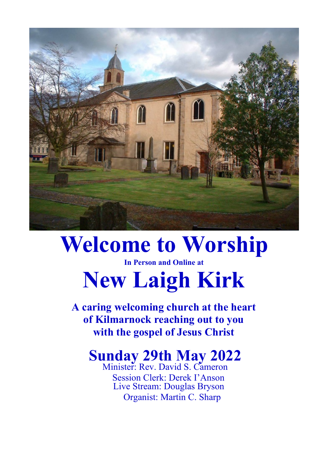

## **Welcome to Worship**

#### **In Person and Online at**

# **New Laigh Kirk**

**A caring welcoming church at the heart of Kilmarnock reaching out to you with the gospel of Jesus Christ**

### **Sunday 29th May 2022**

Minister: Rev. David S. Cameron Session Clerk: Derek I'Anson Live Stream: Douglas Bryson Organist: Martin C. Sharp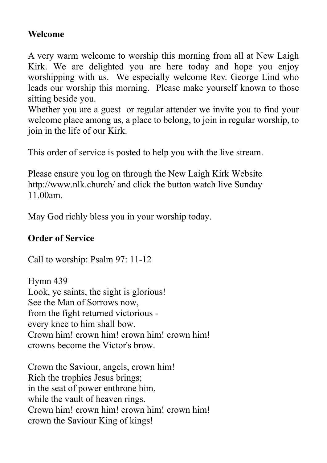#### **Welcome**

A very warm welcome to worship this morning from all at New Laigh Kirk. We are delighted you are here today and hope you enjoy worshipping with us. We especially welcome Rev. George Lind who leads our worship this morning. Please make yourself known to those sitting beside you.

Whether you are a guest or regular attender we invite you to find your welcome place among us, a place to belong, to join in regular worship, to join in the life of our Kirk.

This order of service is posted to help you with the live stream.

Please ensure you log on through the New Laigh Kirk Website http://www.nlk.church/ and click the button watch live Sunday 11.00am.

May God richly bless you in your worship today.

#### **Order of Service**

Call to worship: Psalm 97: 11-12

Hymn 439 Look, ye saints, the sight is glorious! See the Man of Sorrows now, from the fight returned victorious every knee to him shall bow. Crown him! crown him! crown him! crown him! crowns become the Victor's brow.

Crown the Saviour, angels, crown him! Rich the trophies Jesus brings; in the seat of power enthrone him, while the vault of heaven rings. Crown him! crown him! crown him! crown him! crown the Saviour King of kings!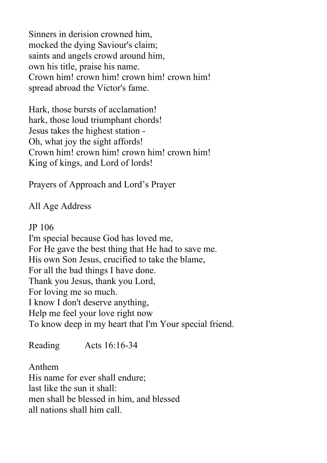Sinners in derision crowned him, mocked the dying Saviour's claim; saints and angels crowd around him, own his title, praise his name. Crown him! crown him! crown him! crown him! spread abroad the Victor's fame.

Hark, those bursts of acclamation! hark, those loud triumphant chords! Jesus takes the highest station - Oh, what joy the sight affords! Crown him! crown him! crown him! crown him! King of kings, and Lord of lords!

Prayers of Approach and Lord's Prayer

All Age Address

JP 106

I'm special because God has loved me, For He gave the best thing that He had to save me. His own Son Jesus, crucified to take the blame, For all the bad things I have done. Thank you Jesus, thank you Lord, For loving me so much. I know I don't deserve anything, Help me feel your love right now To know deep in my heart that I'm Your special friend.

Reading Acts 16:16-34

Anthem His name for ever shall endure; last like the sun it shall: men shall be blessed in him, and blessed all nations shall him call.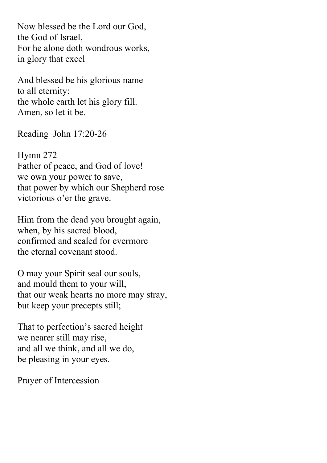Now blessed be the Lord our God, the God of Israel, For he alone doth wondrous works, in glory that excel

And blessed be his glorious name to all eternity: the whole earth let his glory fill. Amen, so let it be.

Reading John 17:20-26

Hymn 272 Father of peace, and God of love! we own your power to save, that power by which our Shepherd rose victorious o'er the grave.

Him from the dead you brought again, when, by his sacred blood, confirmed and sealed for evermore the eternal covenant stood.

O may your Spirit seal our souls, and mould them to your will, that our weak hearts no more may stray, but keep your precepts still;

That to perfection's sacred height we nearer still may rise, and all we think, and all we do, be pleasing in your eyes.

Prayer of Intercession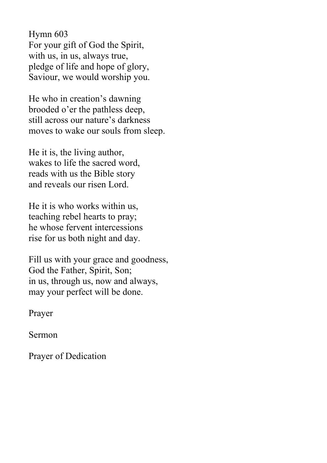Hymn 603 For your gift of God the Spirit, with us, in us, always true, pledge of life and hope of glory, Saviour, we would worship you.

He who in creation's dawning brooded o'er the pathless deep, still across our nature's darkness moves to wake our souls from sleep.

He it is, the living author, wakes to life the sacred word, reads with us the Bible story and reveals our risen Lord.

He it is who works within us, teaching rebel hearts to pray; he whose fervent intercessions rise for us both night and day.

Fill us with your grace and goodness, God the Father, Spirit, Son; in us, through us, now and always, may your perfect will be done.

Prayer

Sermon

Prayer of Dedication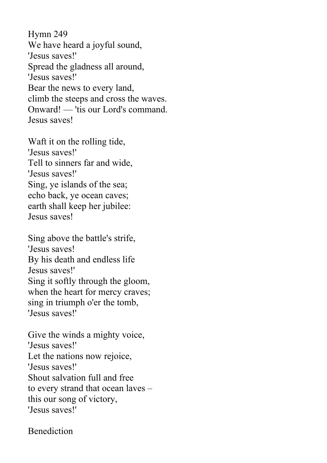Hymn 249 We have heard a joyful sound, 'Jesus saves!' Spread the gladness all around, 'Jesus saves!' Bear the news to every land, climb the steeps and cross the waves. Onward! — 'tis our Lord's command. Jesus saves!

Waft it on the rolling tide, 'Jesus saves!' Tell to sinners far and wide, 'Jesus saves!' Sing, ye islands of the sea; echo back, ye ocean caves; earth shall keep her jubilee: Jesus saves!

Sing above the battle's strife, 'Jesus saves! By his death and endless life Jesus saves!' Sing it softly through the gloom, when the heart for mercy craves; sing in triumph o'er the tomb, 'Jesus saves!'

Give the winds a mighty voice, 'Jesus saves!' Let the nations now rejoice, 'Jesus saves!' Shout salvation full and free to every strand that ocean laves – this our song of victory, 'Jesus saves!'

#### Benediction